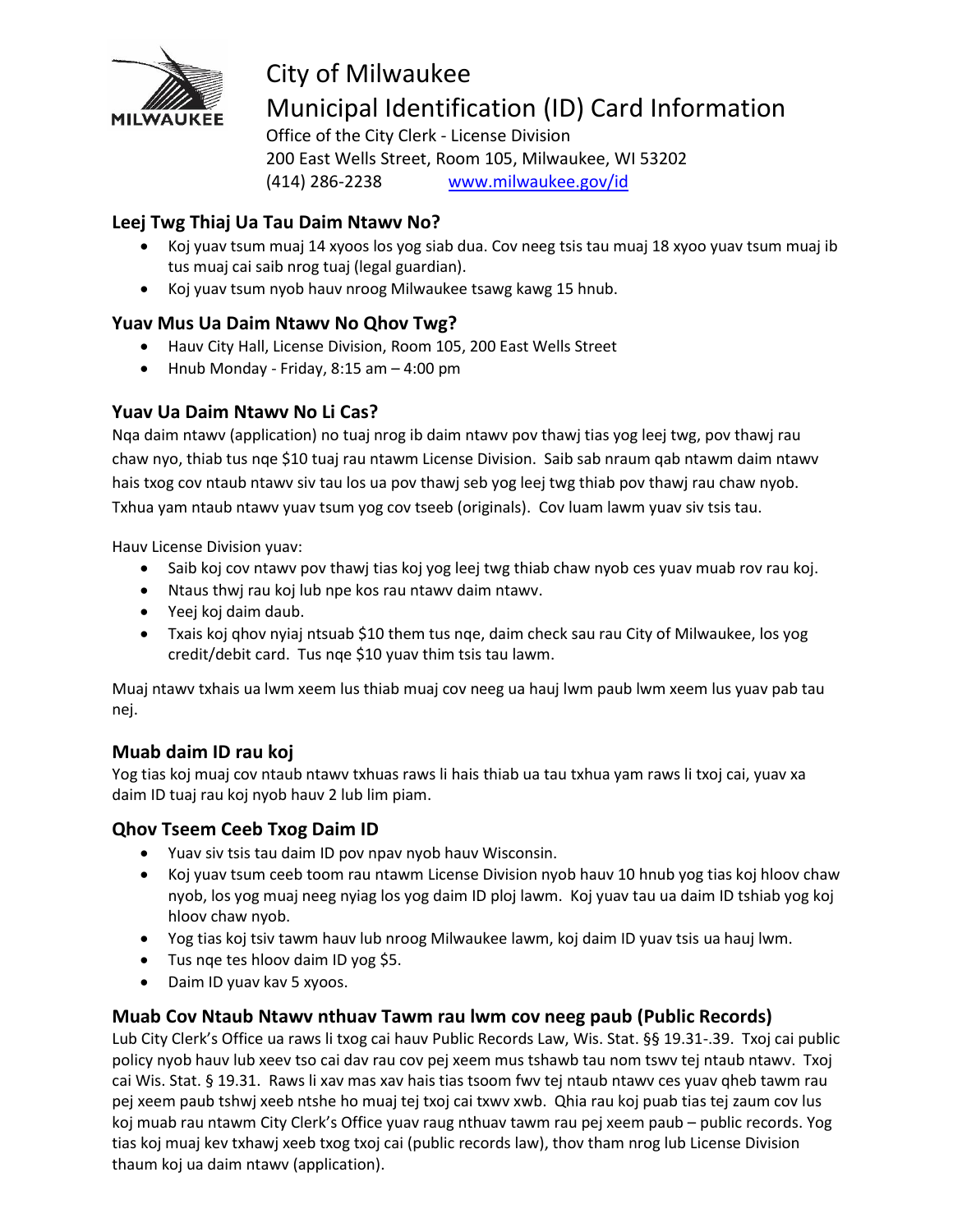

# City of Milwaukee Municipal Identification (ID) Card Information

Office of the City Clerk - License Division 200 East Wells Street, Room 105, Milwaukee, WI 53202 (414) 286-2238 [www.milwaukee.gov/id](http://www.milwaukee.gov/id)

### **Leej Twg Thiaj Ua Tau Daim Ntawv No?**

- Koj yuav tsum muaj 14 xyoos los yog siab dua. Cov neeg tsis tau muaj 18 xyoo yuav tsum muaj ib tus muaj cai saib nrog tuaj (legal guardian).
- Koj yuav tsum nyob hauv nroog Milwaukee tsawg kawg 15 hnub.

### **Yuav Mus Ua Daim Ntawv No Qhov Twg?**

- Hauv City Hall, License Division, Room 105, 200 East Wells Street
- $\bullet$  Hnub Monday Friday, 8:15 am  $-4:00$  pm

### **Yuav Ua Daim Ntawv No Li Cas?**

Nqa daim ntawv (application) no tuaj nrog ib daim ntawv pov thawj tias yog leej twg, pov thawj rau chaw nyo, thiab tus nqe \$10 tuaj rau ntawm License Division. Saib sab nraum qab ntawm daim ntawv hais txog cov ntaub ntawv siv tau los ua pov thawj seb yog leej twg thiab pov thawj rau chaw nyob. Txhua yam ntaub ntawv yuav tsum yog cov tseeb (originals). Cov luam lawm yuav siv tsis tau.

Hauv License Division yuav:

- Saib koj cov ntawy pov thawj tias koj yog leej twg thiab chaw nyob ces yuav muab rov rau koj.
- Ntaus thwj rau koj lub npe kos rau ntawv daim ntawv.
- Yeej koj daim daub.
- Txais koj ghov nyiaj ntsuab \$10 them tus nge, daim check sau rau City of Milwaukee, los yog credit/debit card. Tus nqe \$10 yuav thim tsis tau lawm.

Muaj ntawv txhais ua lwm xeem lus thiab muaj cov neeg ua hauj lwm paub lwm xeem lus yuav pab tau nej.

#### **Muab daim ID rau koj**

Yog tias koj muaj cov ntaub ntawv txhuas raws li hais thiab ua tau txhua yam raws li txoj cai, yuav xa daim ID tuaj rau koj nyob hauv 2 lub lim piam.

#### **Qhov Tseem Ceeb Txog Daim ID**

- Yuav siv tsis tau daim ID pov npav nyob hauv Wisconsin.
- Koj yuav tsum ceeb toom rau ntawm License Division nyob hauv 10 hnub yog tias koj hloov chaw nyob, los yog muaj neeg nyiag los yog daim ID ploj lawm. Koj yuav tau ua daim ID tshiab yog koj hloov chaw nyob.
- Yog tias koj tsiv tawm hauv lub nroog Milwaukee lawm, koj daim ID yuav tsis ua hauj lwm.
- Tus nge tes hloov daim ID yog \$5.
- Daim ID yuav kav 5 xyoos.

#### **Muab Cov Ntaub Ntawv nthuav Tawm rau lwm cov neeg paub (Public Records)**

Lub City Clerk's Office ua raws li txog cai hauv Public Records Law, Wis. Stat. §§ 19.31-.39. Txoj cai public policy nyob hauv lub xeev tso cai dav rau cov pej xeem mus tshawb tau nom tswv tej ntaub ntawv. Txoj cai Wis. Stat. § 19.31. Raws li xav mas xav hais tias tsoom fwv tej ntaub ntawv ces yuav qheb tawm rau pej xeem paub tshwj xeeb ntshe ho muaj tej txoj cai txwv xwb. Qhia rau koj puab tias tej zaum cov lus koj muab rau ntawm City Clerk's Office yuav raug nthuav tawm rau pej xeem paub – public records. Yog tias koj muaj kev txhawj xeeb txog txoj cai (public records law), thov tham nrog lub License Division thaum koj ua daim ntawv (application).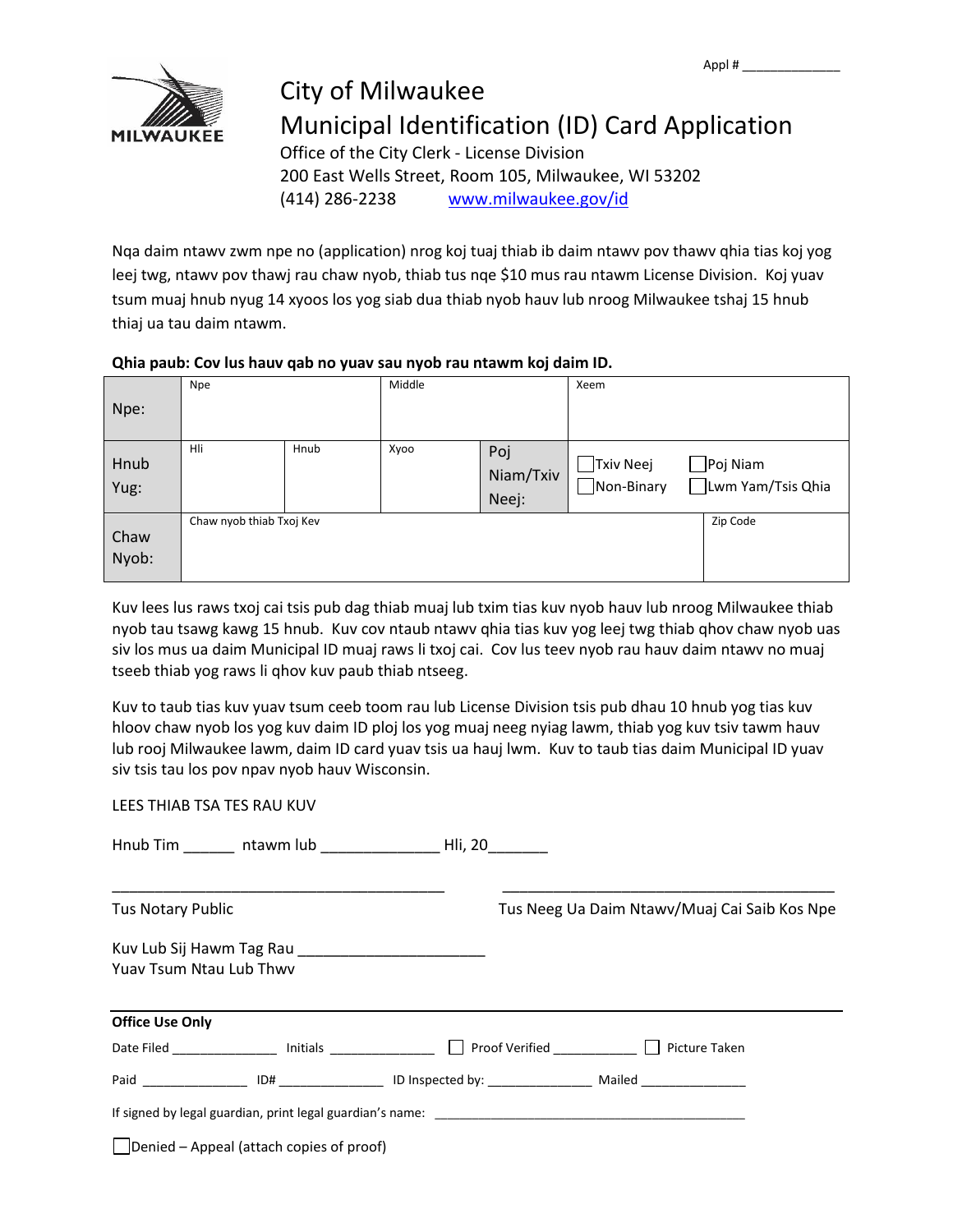

### City of Milwaukee Municipal Identification (ID) Card Application Office of the City Clerk - License Division

200 East Wells Street, Room 105, Milwaukee, WI 53202 (414) 286-2238 [www.milwaukee.gov/id](http://www.milwaukee.gov/id)

Nqa daim ntawv zwm npe no (application) nrog koj tuaj thiab ib daim ntawv pov thawv qhia tias koj yog leej twg, ntawv pov thawj rau chaw nyob, thiab tus nqe \$10 mus rau ntawm License Division. Koj yuav tsum muaj hnub nyug 14 xyoos los yog siab dua thiab nyob hauv lub nroog Milwaukee tshaj 15 hnub thiaj ua tau daim ntawm.

#### **Qhia paub: Cov lus hauv qab no yuav sau nyob rau ntawm koj daim ID.**

|               | <b>Npe</b>               |      |      | Middle                    |                                |                                |
|---------------|--------------------------|------|------|---------------------------|--------------------------------|--------------------------------|
| Npe:          |                          |      |      |                           |                                |                                |
| Hnub<br>Yug:  | Hli                      | Hnub | Xyoo | Poj<br>Niam/Txiv<br>Neej: | $\Box$ Txiv Neej<br>Non-Binary | ∫Poj Niam<br>Lwm Yam/Tsis Qhia |
| Chaw<br>Nyob: | Chaw nyob thiab Txoj Kev |      |      |                           |                                | Zip Code                       |

Kuv lees lus raws txoj cai tsis pub dag thiab muaj lub txim tias kuv nyob hauv lub nroog Milwaukee thiab nyob tau tsawg kawg 15 hnub. Kuv cov ntaub ntawv qhia tias kuv yog leej twg thiab qhov chaw nyob uas siv los mus ua daim Municipal ID muaj raws li txoj cai. Cov lus teev nyob rau hauv daim ntawv no muaj tseeb thiab yog raws li qhov kuv paub thiab ntseeg.

Kuv to taub tias kuv yuav tsum ceeb toom rau lub License Division tsis pub dhau 10 hnub yog tias kuv hloov chaw nyob los yog kuv daim ID ploj los yog muaj neeg nyiag lawm, thiab yog kuv tsiv tawm hauv lub rooj Milwaukee lawm, daim ID card yuav tsis ua hauj lwm. Kuv to taub tias daim Municipal ID yuav siv tsis tau los pov npav nyob hauv Wisconsin.

LEES THIAB TSA TES RAU KUV

| <b>Tus Notary Public</b>       |                                                  |                                                                                                    | Tus Neeg Ua Daim Ntawv/Muaj Cai Saib Kos Npe |  |  |
|--------------------------------|--------------------------------------------------|----------------------------------------------------------------------------------------------------|----------------------------------------------|--|--|
| <b>Yuay Tsum Ntau Lub Thwy</b> |                                                  |                                                                                                    |                                              |  |  |
| <b>Office Use Only</b>         |                                                  |                                                                                                    |                                              |  |  |
|                                |                                                  | Date Filed _________________ Initials ________________ □ Proof Verified __________ □ Picture Taken |                                              |  |  |
|                                |                                                  |                                                                                                    |                                              |  |  |
|                                |                                                  |                                                                                                    |                                              |  |  |
|                                | $\vert$ Denied – Appeal (attach copies of proof) |                                                                                                    |                                              |  |  |